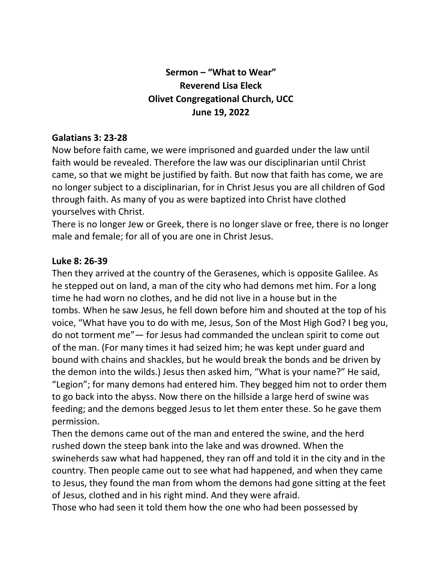# **Sermon – "What to Wear" Reverend Lisa Eleck Olivet Congregational Church, UCC June 19, 2022**

#### **Galatians 3: 23-28**

Now before faith came, we were imprisoned and guarded under the law until faith would be revealed. Therefore the law was our disciplinarian until Christ came, so that we might be justified by faith. But now that faith has come, we are no longer subject to a disciplinarian, for in Christ Jesus you are all children of God through faith. As many of you as were baptized into Christ have clothed yourselves with Christ.

There is no longer Jew or Greek, there is no longer slave or free, there is no longer male and female; for all of you are one in Christ Jesus.

## **Luke 8: 26-39**

Then they arrived at the country of the Gerasenes, which is opposite Galilee. As he stepped out on land, a man of the city who had demons met him. For a long time he had worn no clothes, and he did not live in a house but in the tombs. When he saw Jesus, he fell down before him and shouted at the top of his voice, "What have you to do with me, Jesus, Son of the Most High God? I beg you, do not torment me"— for Jesus had commanded the unclean spirit to come out of the man. (For many times it had seized him; he was kept under guard and bound with chains and shackles, but he would break the bonds and be driven by the demon into the wilds.) Jesus then asked him, "What is your name?" He said, "Legion"; for many demons had entered him. They begged him not to order them to go back into the abyss. Now there on the hillside a large herd of swine was feeding; and the demons begged Jesus to let them enter these. So he gave them permission.

Then the demons came out of the man and entered the swine, and the herd rushed down the steep bank into the lake and was drowned. When the swineherds saw what had happened, they ran off and told it in the city and in the country. Then people came out to see what had happened, and when they came to Jesus, they found the man from whom the demons had gone sitting at the feet of Jesus, clothed and in his right mind. And they were afraid.

Those who had seen it told them how the one who had been possessed by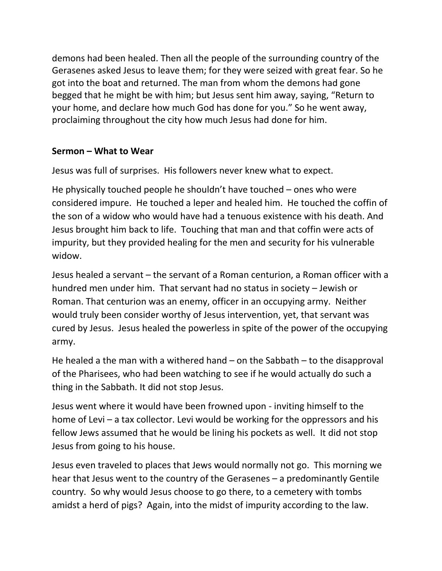demons had been healed. Then all the people of the surrounding country of the Gerasenes asked Jesus to leave them; for they were seized with great fear. So he got into the boat and returned. The man from whom the demons had gone begged that he might be with him; but Jesus sent him away, saying, "Return to your home, and declare how much God has done for you." So he went away, proclaiming throughout the city how much Jesus had done for him.

## **Sermon – What to Wear**

Jesus was full of surprises. His followers never knew what to expect.

He physically touched people he shouldn't have touched – ones who were considered impure. He touched a leper and healed him. He touched the coffin of the son of a widow who would have had a tenuous existence with his death. And Jesus brought him back to life. Touching that man and that coffin were acts of impurity, but they provided healing for the men and security for his vulnerable widow.

Jesus healed a servant – the servant of a Roman centurion, a Roman officer with a hundred men under him. That servant had no status in society – Jewish or Roman. That centurion was an enemy, officer in an occupying army. Neither would truly been consider worthy of Jesus intervention, yet, that servant was cured by Jesus. Jesus healed the powerless in spite of the power of the occupying army.

He healed a the man with a withered hand – on the Sabbath – to the disapproval of the Pharisees, who had been watching to see if he would actually do such a thing in the Sabbath. It did not stop Jesus.

Jesus went where it would have been frowned upon - inviting himself to the home of Levi – a tax collector. Levi would be working for the oppressors and his fellow Jews assumed that he would be lining his pockets as well. It did not stop Jesus from going to his house.

Jesus even traveled to places that Jews would normally not go. This morning we hear that Jesus went to the country of the Gerasenes – a predominantly Gentile country. So why would Jesus choose to go there, to a cemetery with tombs amidst a herd of pigs? Again, into the midst of impurity according to the law.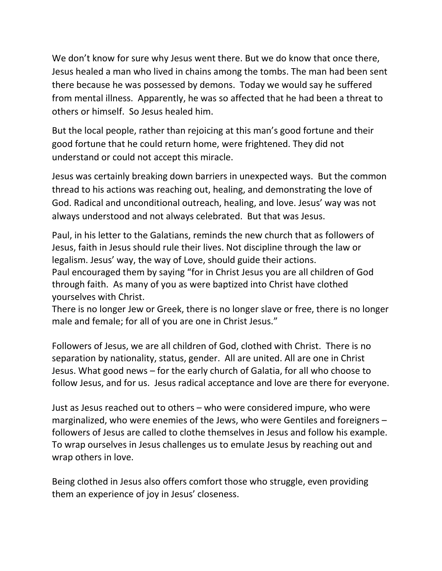We don't know for sure why Jesus went there. But we do know that once there, Jesus healed a man who lived in chains among the tombs. The man had been sent there because he was possessed by demons. Today we would say he suffered from mental illness. Apparently, he was so affected that he had been a threat to others or himself. So Jesus healed him.

But the local people, rather than rejoicing at this man's good fortune and their good fortune that he could return home, were frightened. They did not understand or could not accept this miracle.

Jesus was certainly breaking down barriers in unexpected ways. But the common thread to his actions was reaching out, healing, and demonstrating the love of God. Radical and unconditional outreach, healing, and love. Jesus' way was not always understood and not always celebrated. But that was Jesus.

Paul, in his letter to the Galatians, reminds the new church that as followers of Jesus, faith in Jesus should rule their lives. Not discipline through the law or legalism. Jesus' way, the way of Love, should guide their actions. Paul encouraged them by saying "for in Christ Jesus you are all children of God through faith. As many of you as were baptized into Christ have clothed yourselves with Christ.

There is no longer Jew or Greek, there is no longer slave or free, there is no longer male and female; for all of you are one in Christ Jesus."

Followers of Jesus, we are all children of God, clothed with Christ. There is no separation by nationality, status, gender. All are united. All are one in Christ Jesus. What good news – for the early church of Galatia, for all who choose to follow Jesus, and for us. Jesus radical acceptance and love are there for everyone.

Just as Jesus reached out to others – who were considered impure, who were marginalized, who were enemies of the Jews, who were Gentiles and foreigners – followers of Jesus are called to clothe themselves in Jesus and follow his example. To wrap ourselves in Jesus challenges us to emulate Jesus by reaching out and wrap others in love.

Being clothed in Jesus also offers comfort those who struggle, even providing them an experience of joy in Jesus' closeness.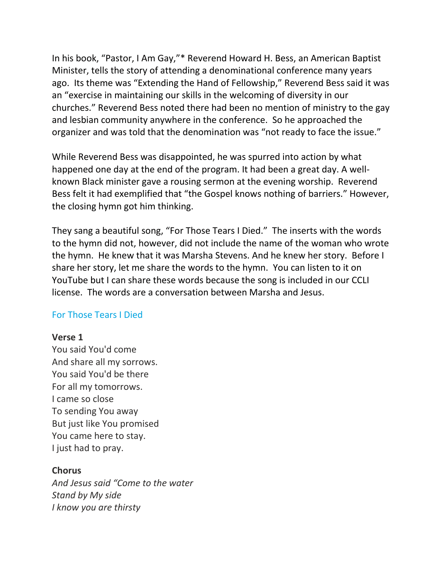In his book, "Pastor, I Am Gay,"\* Reverend Howard H. Bess, an American Baptist Minister, tells the story of attending a denominational conference many years ago. Its theme was "Extending the Hand of Fellowship," Reverend Bess said it was an "exercise in maintaining our skills in the welcoming of diversity in our churches." Reverend Bess noted there had been no mention of ministry to the gay and lesbian community anywhere in the conference. So he approached the organizer and was told that the denomination was "not ready to face the issue."

While Reverend Bess was disappointed, he was spurred into action by what happened one day at the end of the program. It had been a great day. A wellknown Black minister gave a rousing sermon at the evening worship. Reverend Bess felt it had exemplified that "the Gospel knows nothing of barriers." However, the closing hymn got him thinking.

They sang a beautiful song, "For Those Tears I Died." The inserts with the words to the hymn did not, however, did not include the name of the woman who wrote the hymn. He knew that it was Marsha Stevens. And he knew her story. Before I share her story, let me share the words to the hymn. You can listen to it on YouTube but I can share these words because the song is included in our CCLI license. The words are a conversation between Marsha and Jesus.

#### For Those Tears I Died

# **Verse 1**

You said You'd come And share all my sorrows. You said You'd be there For all my tomorrows. I came so close To sending You away But just like You promised You came here to stay. I just had to pray.

# **Chorus Chorus Chorus Chorus Chorus Chorus Chorus Chorus Chorus Chorus**

*And Jesus said "Come to the water Stand by My side I know you are thirsty*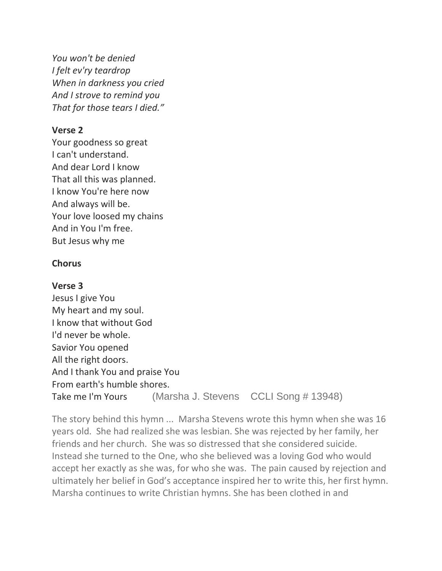*You won't be denied I felt ev'ry teardrop When in darkness you cried And I strove to remind you That for those tears I died."*

# **Verse 2**

Your goodness so great I can't understand. And dear Lord I know That all this was planned. I know You're here now And always will be. Your love loosed my chains And in You I'm free. But Jesus why me

# **Chorus Chorus Chorus Chorus Chorus Chorus Chorus Chorus Chorus Chorus**

**Verse 3**  Jesus I give You My heart and my soul. I know that without God I'd never be whole. Savior You opened All the right doors. And I thank You and praise You From earth's humble shores. Take me I'm Yours (Marsha J. Stevens CCLI Song # 13948)

The story behind this hymn ... Marsha Stevens wrote this hymn when she was 16 years old. She had realized she was lesbian. She was rejected by her family, her friends and her church. She was so distressed that she considered suicide. Instead she turned to the One, who she believed was a loving God who would accept her exactly as she was, for who she was. The pain caused by rejection and ultimately her belief in God's acceptance inspired her to write this, her first hymn. Marsha continues to write Christian hymns. She has been clothed in and